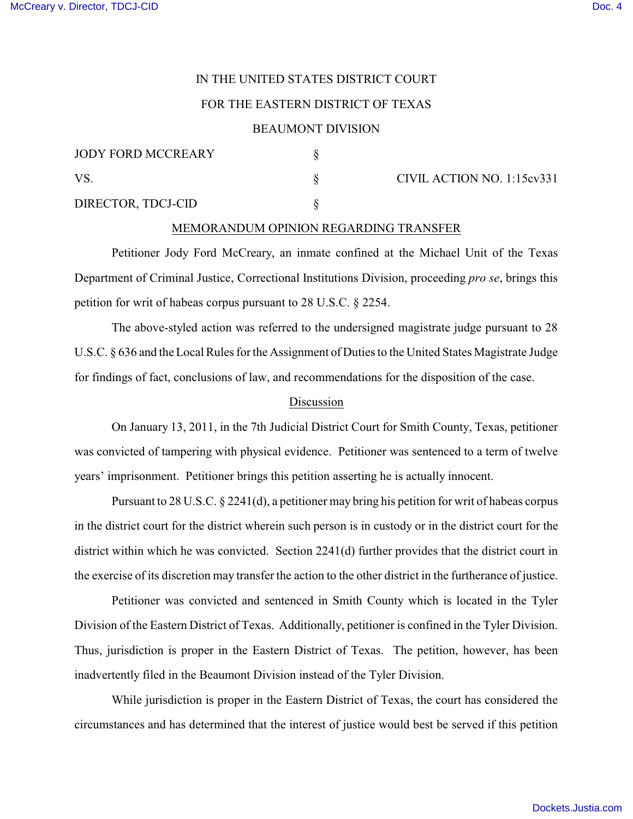# IN THE UNITED STATES DISTRICT COURT

## FOR THE EASTERN DISTRICT OF TEXAS

### BEAUMONT DIVISION

| <b>JODY FORD MCCREARY</b> |  | CIVIL ACTION NO. 1:15cv331 |
|---------------------------|--|----------------------------|
| VS                        |  |                            |
| DIRECTOR, TDCJ-CID        |  |                            |

#### MEMORANDUM OPINION REGARDING TRANSFER

Petitioner Jody Ford McCreary, an inmate confined at the Michael Unit of the Texas Department of Criminal Justice, Correctional Institutions Division, proceeding *pro se*, brings this petition for writ of habeas corpus pursuant to 28 U.S.C. § 2254.

The above-styled action was referred to the undersigned magistrate judge pursuant to 28 U.S.C. § 636 and the Local Rules for the Assignment of Duties to the United States Magistrate Judge for findings of fact, conclusions of law, and recommendations for the disposition of the case.

### Discussion

On January 13, 2011, in the 7th Judicial District Court for Smith County, Texas, petitioner was convicted of tampering with physical evidence. Petitioner was sentenced to a term of twelve years' imprisonment. Petitioner brings this petition asserting he is actually innocent.

Pursuant to 28 U.S.C. § 2241(d), a petitioner may bring his petition for writ of habeas corpus in the district court for the district wherein such person is in custody or in the district court for the district within which he was convicted. Section 2241(d) further provides that the district court in the exercise of its discretion may transfer the action to the other district in the furtherance of justice.

Petitioner was convicted and sentenced in Smith County which is located in the Tyler Division of the Eastern District of Texas. Additionally, petitioner is confined in the Tyler Division. Thus, jurisdiction is proper in the Eastern District of Texas. The petition, however, has been inadvertently filed in the Beaumont Division instead of the Tyler Division.

While jurisdiction is proper in the Eastern District of Texas, the court has considered the circumstances and has determined that the interest of justice would best be served if this petition